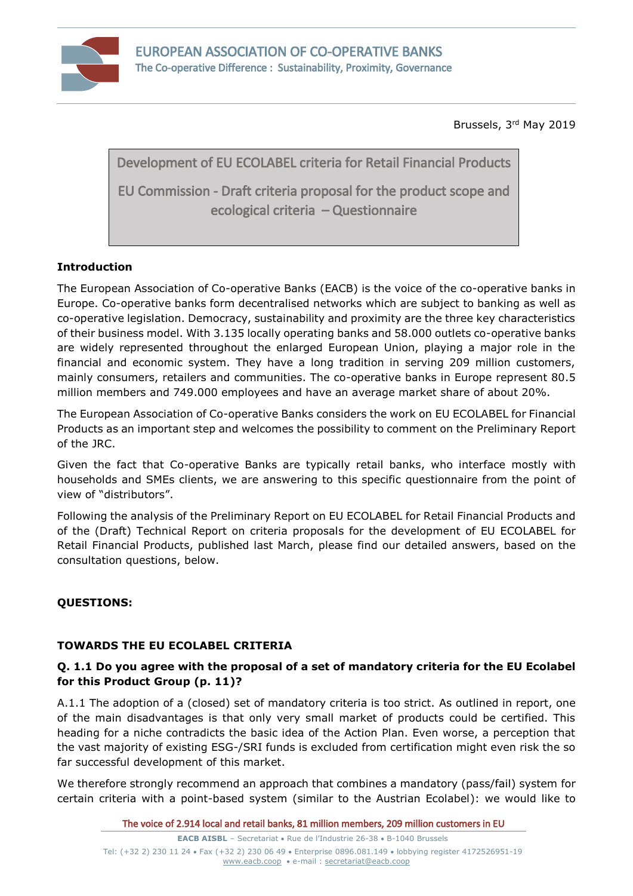

Brussels, 3 rd May 2019

Development of EU ECOLABEL criteria for Retail Financial Products

EU Commission - Draft criteria proposal for the product scope and ecological criteria – Questionnaire

## **Introduction**

The European Association of Co-operative Banks (EACB) is the voice of the co-operative banks in Europe. Co-operative banks form decentralised networks which are subject to banking as well as co-operative legislation. Democracy, sustainability and proximity are the three key characteristics of their business model. With 3.135 locally operating banks and 58.000 outlets co-operative banks are widely represented throughout the enlarged European Union, playing a major role in the financial and economic system. They have a long tradition in serving 209 million customers, mainly consumers, retailers and communities. The co-operative banks in Europe represent 80.5 million members and 749.000 employees and have an average market share of about 20%.

The European Association of Co-operative Banks considers the work on EU ECOLABEL for Financial Products as an important step and welcomes the possibility to comment on the Preliminary Report of the JRC.

Given the fact that Co-operative Banks are typically retail banks, who interface mostly with households and SMEs clients, we are answering to this specific questionnaire from the point of view of "distributors".

Following the analysis of the Preliminary Report on EU ECOLABEL for Retail Financial Products and of the (Draft) Technical Report on criteria proposals for the development of EU ECOLABEL for Retail Financial Products, published last March, please find our detailed answers, based on the consultation questions, below.

## **QUESTIONS:**

## **TOWARDS THE EU ECOLABEL CRITERIA**

#### **Q. 1.1 Do you agree with the proposal of a set of mandatory criteria for the EU Ecolabel for this Product Group (p. 11)?**

A.1.1 The adoption of a (closed) set of mandatory criteria is too strict. As outlined in report, one of the main disadvantages is that only very small market of products could be certified. This heading for a niche contradicts the basic idea of the Action Plan. Even worse, a perception that the vast majority of existing ESG-/SRI funds is excluded from certification might even risk the so far successful development of this market.

We therefore strongly recommend an approach that combines a mandatory (pass/fail) system for certain criteria with a point-based system (similar to the Austrian Ecolabel): we would like to

The voice of 2.914 local and retail banks, 81 million members, 209 million customers in EU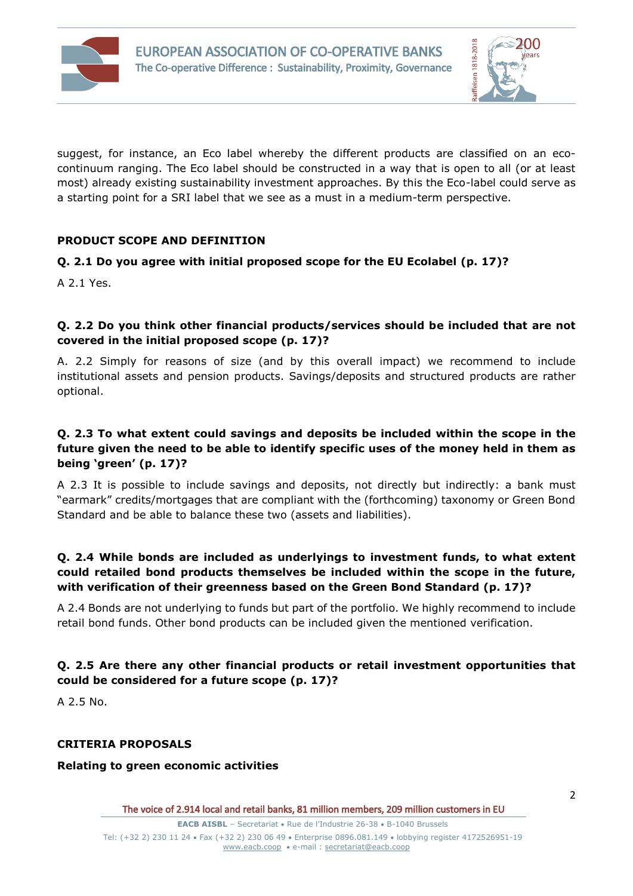



suggest, for instance, an Eco label whereby the different products are classified on an ecocontinuum ranging. The Eco label should be constructed in a way that is open to all (or at least most) already existing sustainability investment approaches. By this the Eco-label could serve as a starting point for a SRI label that we see as a must in a medium-term perspective.

#### **PRODUCT SCOPE AND DEFINITION**

#### **Q. 2.1 Do you agree with initial proposed scope for the EU Ecolabel (p. 17)?**

A 2.1 Yes.

#### **Q. 2.2 Do you think other financial products/services should be included that are not covered in the initial proposed scope (p. 17)?**

A. 2.2 Simply for reasons of size (and by this overall impact) we recommend to include institutional assets and pension products. Savings/deposits and structured products are rather optional.

### **Q. 2.3 To what extent could savings and deposits be included within the scope in the future given the need to be able to identify specific uses of the money held in them as being 'green' (p. 17)?**

A 2.3 It is possible to include savings and deposits, not directly but indirectly: a bank must "earmark" credits/mortgages that are compliant with the (forthcoming) taxonomy or Green Bond Standard and be able to balance these two (assets and liabilities).

## **Q. 2.4 While bonds are included as underlyings to investment funds, to what extent could retailed bond products themselves be included within the scope in the future, with verification of their greenness based on the Green Bond Standard (p. 17)?**

A 2.4 Bonds are not underlying to funds but part of the portfolio. We highly recommend to include retail bond funds. Other bond products can be included given the mentioned verification.

## **Q. 2.5 Are there any other financial products or retail investment opportunities that could be considered for a future scope (p. 17)?**

A 2.5 No.

#### **CRITERIA PROPOSALS**

#### **Relating to green economic activities**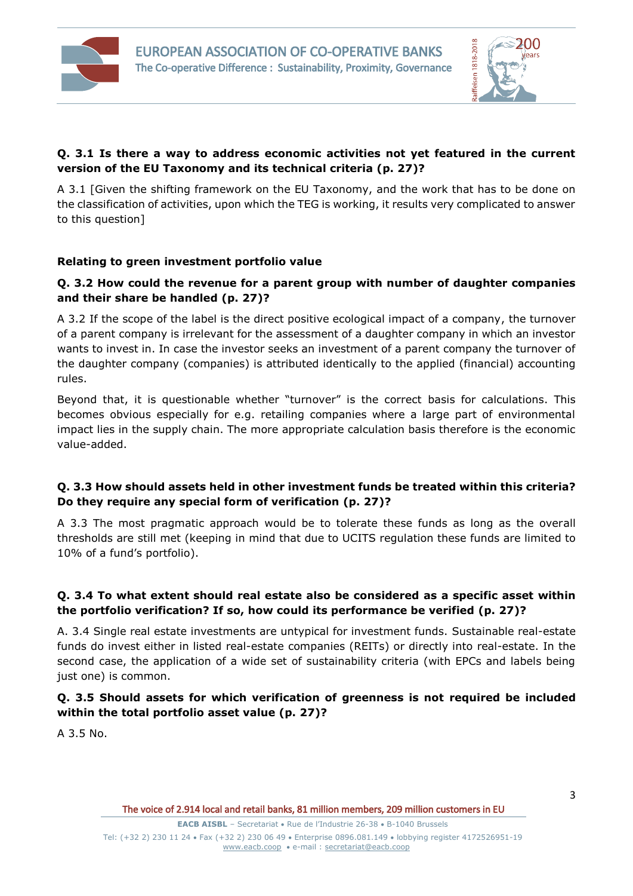



## **Q. 3.1 Is there a way to address economic activities not yet featured in the current version of the EU Taxonomy and its technical criteria (p. 27)?**

A 3.1 [Given the shifting framework on the EU Taxonomy, and the work that has to be done on the classification of activities, upon which the TEG is working, it results very complicated to answer to this question]

#### **Relating to green investment portfolio value**

### **Q. 3.2 How could the revenue for a parent group with number of daughter companies and their share be handled (p. 27)?**

A 3.2 If the scope of the label is the direct positive ecological impact of a company, the turnover of a parent company is irrelevant for the assessment of a daughter company in which an investor wants to invest in. In case the investor seeks an investment of a parent company the turnover of the daughter company (companies) is attributed identically to the applied (financial) accounting rules.

Beyond that, it is questionable whether "turnover" is the correct basis for calculations. This becomes obvious especially for e.g. retailing companies where a large part of environmental impact lies in the supply chain. The more appropriate calculation basis therefore is the economic value-added.

#### **Q. 3.3 How should assets held in other investment funds be treated within this criteria? Do they require any special form of verification (p. 27)?**

A 3.3 The most pragmatic approach would be to tolerate these funds as long as the overall thresholds are still met (keeping in mind that due to UCITS regulation these funds are limited to 10% of a fund's portfolio).

## **Q. 3.4 To what extent should real estate also be considered as a specific asset within the portfolio verification? If so, how could its performance be verified (p. 27)?**

A. 3.4 Single real estate investments are untypical for investment funds. Sustainable real-estate funds do invest either in listed real-estate companies (REITs) or directly into real-estate. In the second case, the application of a wide set of sustainability criteria (with EPCs and labels being just one) is common.

## **Q. 3.5 Should assets for which verification of greenness is not required be included within the total portfolio asset value (p. 27)?**

A 3.5 No.

**EACB AISBL** – Secretariat • Rue de l'Industrie 26-38 • B-1040 Brussels

Tel: (+32 2) 230 11 24 · Fax (+32 2) 230 06 49 · Enterprise 0896.081.149 · lobbying register 4172526951-19 [www.eacb.coop](http://www.eacb.coop/)  e-mail : [secretariat@eacb.coop](mailto:secretariat@eacb.coop)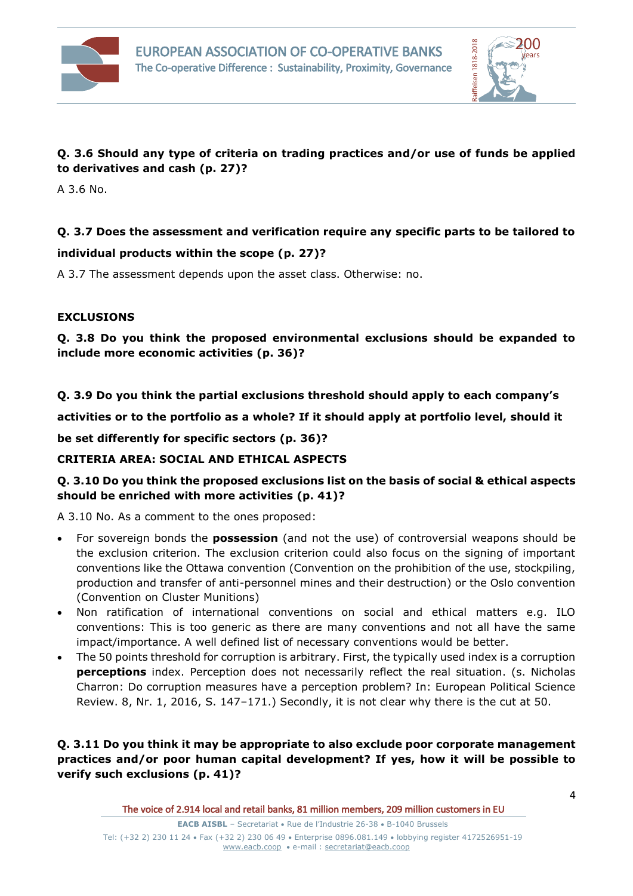



## **Q. 3.6 Should any type of criteria on trading practices and/or use of funds be applied to derivatives and cash (p. 27)?**

A 3.6 No.

# **Q. 3.7 Does the assessment and verification require any specific parts to be tailored to**

#### **individual products within the scope (p. 27)?**

A 3.7 The assessment depends upon the asset class. Otherwise: no.

#### **EXCLUSIONS**

**Q. 3.8 Do you think the proposed environmental exclusions should be expanded to include more economic activities (p. 36)?**

#### **Q. 3.9 Do you think the partial exclusions threshold should apply to each company's**

**activities or to the portfolio as a whole? If it should apply at portfolio level, should it**

**be set differently for specific sectors (p. 36)?**

#### **CRITERIA AREA: SOCIAL AND ETHICAL ASPECTS**

## **Q. 3.10 Do you think the proposed exclusions list on the basis of social & ethical aspects should be enriched with more activities (p. 41)?**

A 3.10 No. As a comment to the ones proposed:

- For sovereign bonds the **possession** (and not the use) of controversial weapons should be the exclusion criterion. The exclusion criterion could also focus on the signing of important conventions like the Ottawa convention (Convention on the prohibition of the use, stockpiling, production and transfer of anti-personnel mines and their destruction) or the Oslo convention (Convention on Cluster Munitions)
- Non ratification of international conventions on social and ethical matters e.g. ILO conventions: This is too generic as there are many conventions and not all have the same impact/importance. A well defined list of necessary conventions would be better.
- The 50 points threshold for corruption is arbitrary. First, the typically used index is a corruption **perceptions** index. Perception does not necessarily reflect the real situation. (s. Nicholas Charron: Do corruption measures have a perception problem? In: European Political Science Review. 8, Nr. 1, 2016, S. 147–171.) Secondly, it is not clear why there is the cut at 50.

#### **Q. 3.11 Do you think it may be appropriate to also exclude poor corporate management practices and/or poor human capital development? If yes, how it will be possible to verify such exclusions (p. 41)?**

The voice of 2.914 local and retail banks, 81 million members, 209 million customers in EU